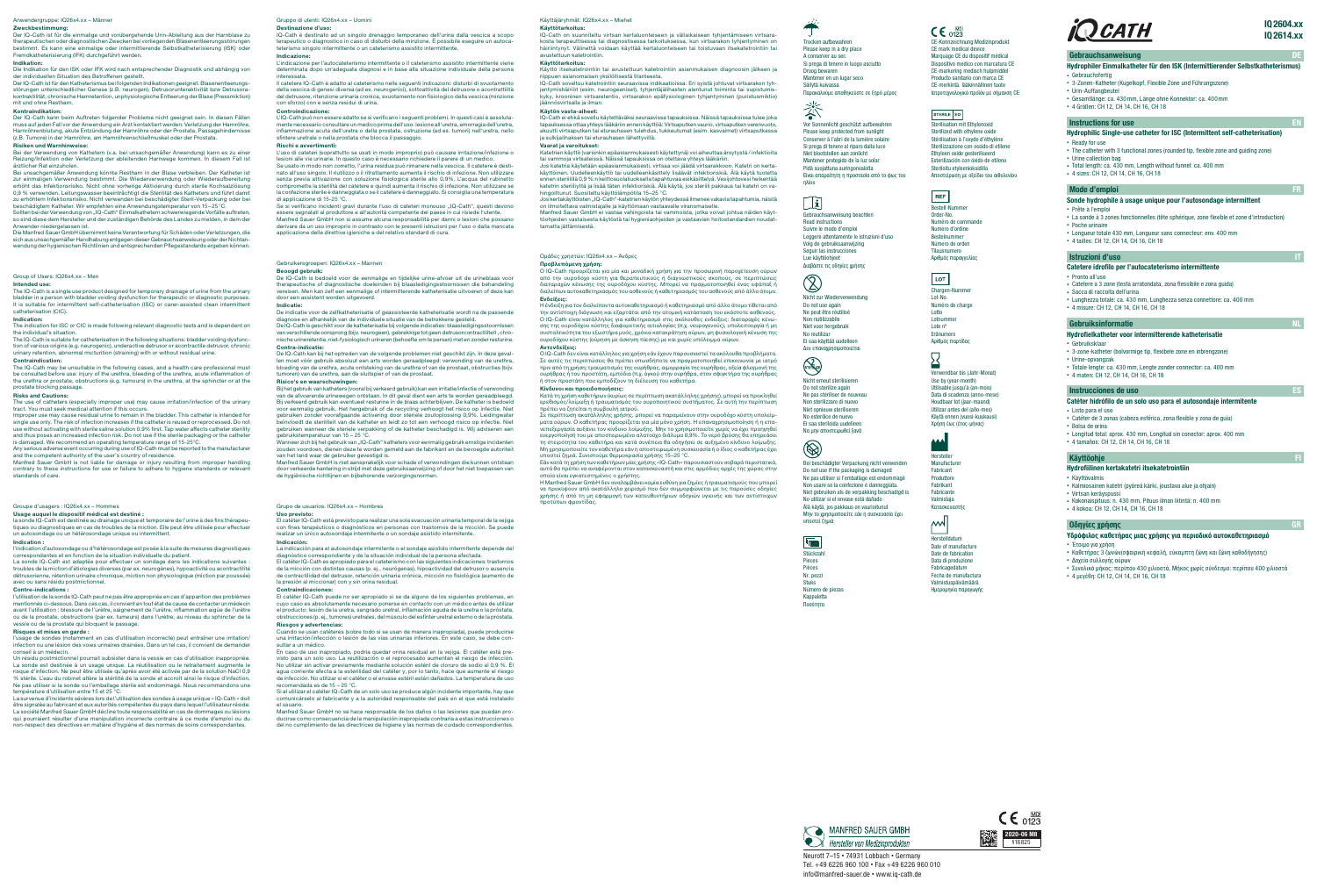Neurott 7–15 • 74931 Lobbach • Germany Tel. +49 6226 960 100 • Fax +49 6226 960 010 info@manfred-sauer.de • www.iq-cath.de

## IQ2604.xx IQ2614.xx

## Gebrauchsanweisung



## Hydrophiler Einmalkatheter für den ISK (Intermittierender Selbstkatheterismus)

- Gebrauchsfertig • 3-Zonen-Katheter (Kugelkopf, Flexible Zone und Führungszone)
- Urin-Auffangbeutel
- Gesamtlänge: ca. 430mm, Länge ohne Konnektor: ca. 400mm
- 4 Größen: CH 12, CH 14, CH 16, CH 18

### **Instructions for use EN 2008**

## Hydrophilic Single-use catheter for ISC (Intermittent self-catheterisation)

- Ready for use • The catheter with 3 functional zones (rounded tip, flexible zone and guiding zone)
- Urine collection bag
- Total length: ca. 430 mm, Length without funnel: ca. 400 mm • 4 sizes: CH 12, CH 14, CH 16, CH 18

## Mode d'emploi

- Υδρόφιλος καθετήρας μιας χρήσης για περιοδικό αυτοκαθετηριασμό
- Έτοιμο για χρήση
- Καθετήρας 3 ζωνών(σφαιρική κεφαλή, εύκαμπτη ζώνη και ζώνη καθοδήγησης) • Δοχείο συλλογής ούρων
- Συνολικό μήκος: περίπου 430 χιλιοστά, Μήκος χωρίς σύνδεσμο: περίπου 400 χιλιοστά
- 4 μεγέθη: CH 12, CH 14, CH 16, CH 18

## MANFRED SAUER GMBH

Hersteller von Medizinprodukten

- Hydrofielkatheter voor intermitterende katheterisatie
- Gebruiksklaar
- 3-zone-katheter (bolvormige tip, flexibele zone en inbrengzone) • Urine-opvangzak
- Totale lengte: ca. 430 mm, Lengte zonder connector: ca. 400 mm
- 4 maten: CH 12, CH 14, CH 16, CH 18

## **Instrucciones de uso ES**

## Hydrofiilinen kertakatetri itsekatetrointiin

- Käyttövalmis
- Kolmiosainen katetri (pyöreä kärki, joustava alue ja ohjain) • Virtsan keräyspussi
- Kokonaispituus: n. 430 mm, Pituus ilman liitintä: n. 400 mm • 4 kokoa: CH 12, CH 14, CH 16, CH 18

## **Οδηγίες χρήσης**

## Catetere idrofilo per l'autocateterismo intermittente

- Pronto all'uso • Catetere a 3 zone (testa arrotondata, zona flessibile e zona guida)
- Sacca di raccolta dell'urina
- Lunghezza totale: ca. 430 mm, Lunghezza senza connettore: ca. 400 mm
- 4 misure: CH 12, CH 14, CH 16, CH 18

## Gebruiksinformatie

der individuellen Situation des Betroffenen gestellt.<br>Der IQ-Cath ist für den Katheterismus bei folgenden Indikationen geeignet: Blasenentleerungs-<br>störungen unterschiedlicher Genese (z.B. neurogen), Detrusorunteraktivität kontraktilität, chronische Harnretention, unphysiologische Entleerung der Blase (Pressmiktion) mit und ohne Restharn.

Der IQ-Cath kann beim Auftreten folgender Probleme nicht geeignet sein. In diesen Fällen muss auf jeden Fall vor der Anwendung ein Arzt kontaktiert werden: Verletzung der Harnröhre,<br>Harnröhrenblutung, akute Entzündung der Harnröhre oder der Prostata, Passagehindernisse<br>(z.B. Tumore) in der Harnröhre, am Harnrö

## Catéter hidrófilo de un solo uso para el autosondaje intermitente

- Listo para el uso • Catéter de 3 zonas (cabeza esférica, zona flexible y zona de guía)
- Bolsa de orina
- Longitud total: aprox. 430 mm, Longitud sin conector: aprox. 400 mm
- 4 tamaños: CH 12, CH 14, CH 16, CH 18

## Käyttöohje

**Risiken und Warnhinweise:**<br>Bei der Verwendung von Kathetern (v.a. bei unsachgemäßer Anwendung) kann es zu einer Reizung/Infektion oder Verletzung der ableitenden Harnwege kommen. In diesem Fall ist ärztlicher Rat einzuholen.

Bei unsachgemäßer Anwendung könnte Restharn in der Blase verbleiben. Der Katheter ist zur einmaligen Verwendung bestimmt. Die Wiederverwendung oder Wiederaufbereitung erhöht das Infektionsrisiko. Nicht ohne vorherige Aktivierung durch sterile Kochsalzlösung 0,9 % verwenden. Leitungswasser beeinträchtigt die Sterliltät des Katheters und führt damit<br>zu erhöhtem Infektionsrisiko. Nicht verwenden bei beschädigter Steril-Verpackung oder bei<br>beschädigtem Katheter. Wir empfehlen ein

#### Sonde hydrophile à usage unique pour l'autosondage intermittent • Prête à l'emploi

- La sonde à 3 zones fonctionnelles (tête sphérique, zone flexible et zone d'introduction)
- Poche urinaire
- Longueur totale 430 mm, Longueur sans connecteur: env. 400 mm • 4 tailles: CH 12, CH 14, CH 16, CH 18

## Istruzioni d'uso

## Anwendergruppe: IQ26x4.xx – Männer

Zweckbestimmung:<br>Der IQ-Cath ist für die einmalige und vorübergehende Urin-Ableitung aus der Harnblase zu<br>therapeutischen oder diagnostischen Zwecken bei vorliegenden Blasenentleerungsstörungen<br>bestimmt. Es kann eine einma

Η ένδειξη για τον διαλείποντα αυτοκαθετηριασμό ή καθετηριασμό από άλλο άτομο τίθεται από την αντίστοιχη διάγνωση και εξαρτάται από την ατομική κατάσταση του εκάστοτε ασθενούς.<br>Ο IQ-Cath είναι κατάλληλος για καθετηριασμό στις ακόλουθες ενδείξεις: διαταραχές κένω-<br>σης της ουροδόχου κύστης διαφορετικής αιτιολογί συσταλτικότητα του εξωστήρα μυός, χρόνια κατακράτηση ούρων, μη φυσιολογική κένωση της ουρωπικά της πίεσης της μεγάλης με τουρωπικό μεγαλήσης της προσφαιρισμούς.<br>Ο προδόχου κύστης (ούρηση με άσκηση πίεσης) με και χωρίς υπόλειμμα ούρ

Indikation:

Die Indikation für den ISK oder IFK wird nach entsprechender Diagnostik und abhängig von

#### Kontraindikation:

Sollten bei der Verwendung von "IQ-Cath" Einmalkathetern schwerwiegende Vorfälle auftreten, so sind diese dem Hersteller und der zuständigen Behörde des Landes zu melden, in dem de Anwender niedergelassen ist. Die Manfred Sauer GmbH übernimmt keine Verantwortung für Schäden oder Verletzungen, die

Jos kertakäyttöisten "IQ-Cath"-katetrien käytön yhteydessä ilmenee vakavia tapahtumia, näistä<br>on ilmoitettava valmistajalle ja käyttömaan vastaavalle viranomaiselle. Manfred Sauer GmbH ei vastaa vahingoista tai vammoista, jotka voivat johtua näiden käyttöohjeiden vastaisesta käytöstä tai hygieniaohjeiden ja vastaa tamatta jättämisestä.

sich aus unsachgemäßer Handhabung entgegen dieser Gebrauchsanweisung oder der Nichtan-wendung der hygienischen Richtlinien und entsprechenden Pflegestandards ergeben können.

## Ομάδες χρηστών: IQ26x4.xx – Άνδρες

Προβλεπόμενη χρήση:

**Beoogd gebruik:**<br>De IQ-Cath is bedoeld voor de eenmalige en tijdelijke urine-afvoer uit de urineblaas voor therapeutische of diagnostische doeleinden bij blaasledigingsstoornissen die behandeling vereisen. Men kan zelf een eenmalige of intermitterende katheterisatie uitvoeren of deze kan

Ο IQ-Cath προορίζεται για μία και μοναδική χρήση για την προσωρινή παροχέτευση ούρων από την ουροδόχο κύστη για θεραπευτικούς ή διαγνωστικούς σκοπούς, σε περιπτώσεις διαταραχών κένωσης της ουροδόχου κύστης. Μπορεί να πραγματοποιηθεί ένας εφάπαξ ή διαλείπων αυτοκαθετηριασμός του ασθενούς ή καθετηριασμός του ασθενούς από άλλο άτομο. Ενδείξεις:

Bij het gebruik van katheters (vooral bij verkeerd gebruik) kan een irritatie/infectie of verwonding van de afvoerende urinewegen ontstaan. In dit geval dient een arts te worden geraadpleegd Bij verkeerd gebruik kan eventueel resturine in de blaas achterblijven. De katheter is bedoeld voor eenmalig gebruik. Het hergebruik of de recycling verhoogt het risico op infectie. Niet gebruiken zonder voorafgaande activering door steriele zoutoplossing 0,9%. Leidingwater beïnvloedt de steriliteit van de katheter en leidt zo tot een verhoogd risico op infectie. Niet gebruiken wanneer de steriele verpakking of de katheter beschadigd is. Wij adviseren een<br>gebruikstemperatuur van 15 – 25 °C.<br>Wanneer zich bij het gebruik van "IQ-Cath" katheters voor eenmalig gebruik ernstige incidenten

#### Αντενδείξεις:

Ο IQ-Cath δεν είναι κατάλληλος για χρήση εάν έχουν παρουσιαστεί τα ακόλουθα προβλήματα. Σε αυτές τις περιπτώσεις θα πρέπει οπωσδήποτε να πραγματοποιηθεί επικοινωνία με ιατρό<br>πριν από τη χρήση: τραυματισμός της ουρήθρας, αιμορραγία της ουρήθρας, οξεία φλεγμονή της<br>ουρήθρας ή του προστάτη, εμπόδια (π.χ. όγκοι) ή στον προστάτη που εμποδίζουν τη διέλευση του καθετήρα.

#### Κίνδυνοι και προειδοποιήσεις:

.<br>ndication d'autosondage ou d'hétérosondage est posée à la suite de mesures diagnosti correspondantes et en fonction de la situation individuelle du patient.

La sonde IQ-Cath est adaptée pour effectuer un sondage dans les indications suivantes :<br>troubles de la miction d'étiologies diverses (par ex. neurogènes), hypoactivité ou acontractilité<br>détrusorienne, rétention urinaire ch

Κατά τη χρήση καθετήρων (κυρίως σε περίπτωση ακατάλληλης χρήσης), μπορεί να προκληθεί ερεθισμός/λοίμωξη ή τραυματισμός του ουροποιητικού συστήματος. Σε αυτή την περίπτωση πρέπει να ζητείται η συμβουλή ιατρού.

Σε περίπτωση ακατάλληλης χρήσης, μπορεί να παραμείνουν στην ουροδόχο κύστη υπολείμματα ούρων. Ο καθετήρας προορίζεται για μία μόνο χρήση. Η επαναχρησιμοποίηση ή η επα-<br>νεπεξεργασία αυξάνει τον κίνδυνο λοίμωξης. Μην το χρησιμοποιείτε χωρίς να έχει προηγηθεί<br>ενεργοποίησή του με αποστειρωμένο αλατούχο διά Μη χρησιμοποιείτε τον καθετήρα εάν η αποστειρωμένη συσκευασία ή ο ίδιος ο καθετήρας έχει

Un résidu postmictionnel pourrait subsister dans la vessie en cas d'utilisation inappropriée. La sonde est destinée à un usage unique. La réutilisation ou le retraitement augmente le risque d'infection. Ne peut être utilisée qu'après avoir été activée par de la solution NaCl 0,9 % stérile. L'eau du robinet altère la stérilité de la sonde et accroît ainsi le risque d'infection. Ne pas utiliser si la sonde ou l'emballage stérile est endommagé. Nous recommandons une<br>température d'utilisation entre 15 et 25 °C.<br>La survenue d'incidents sévères lors de l'utilisation des sondes à usage unique « lQ-Cat

être signalée au fabricant et aux autorités compétentes du pays dans lequel l'utilisateur réside. La société Manfred Sauer GmbH décline toute responsabilité en cas de dommages ou lésions<br>qui pourraient résulter d'une manipulation incorrecte contraire à ce mode d'emploi ou du<br>non-respect des directives en matière d'hygi

υποστεί ζημιά. Συνιστούμε θερμοκρασία χρήσης 15–25 °C. Εάν κατά τη χρήση των καθετήρων μίας χρήσης «IQ-Cath» παρουσιαστούν σοβαρά περιστατικά, αυτά θα πρέπει να αναφέρονται στον κατασκευαστή και στις αρμόδιες αρχές της χώρας στην οποία είναι εγκατεστημένος ο χρήστης.

Η Manfred Sauer GmbH δεν αναλαμβάνει καμία ευθύνη για ζημίες ή τραυματισμούς που μπορεί να προκύψουν από ακατάλληλο χειρισμό που δεν συμμορφώνεται με τις παρούσες οδηγίες χρήσης ή από τη μη εφαρμογή των κατευθυντήριων οδηγιών υγιεινής και των αντίστοιχων προτύπων φροντίδας.

Käyttäjäryhmät: IQ26x4.xx – Miehet

Käyttötarkoitus:

interessata.<br>Il catetere IQ-Cath è adatto al cateterismo nelle seguenti indicazioni: disturbi di svuotamento<br>della vescica di genesi diversa (ad es. neurogenici), sottoattività del detrusore o acontrattilità del detrusore, ritenzione urinaria cronica, svuotamento non fisiologico della vescica (minzione con sforzo) con e senza residui di urina.

IQ-Cath on suunniteltu virtsan kertaluonteiseen ja väliaikaiseen tyhjentämiseen virtsarakosta terapeuttisessa tai diagnostisessa tarkoituksessa, kun virtsarakon tyhjentyminen on häiriintynyt. Välinettä voidaan käyttää kertaluonteiseen tai toistuvaan itsekatetrointiin tai avustettuun katetrointiin.

#### Käyttötarkoitus: Käyttö itsekatetrointiin tai avustettuun katetrointiin asianmukaisen diagnoosin jälkeen ja

riippuen asianomaisen yksilöllisestä tilanteesta.<br>IQ-Cath soveltuu katetrointiin seuraavissa indikaatioissa: Eri syistä johtuvat virtsarakon tyh-<br>jentymishäiriöt (esim. neurogeeniset), tyhjentäjälihasten alentunut toiminta kyky, krooninen virtsaretentio, virtsarakon epäfysiologinen tyhjentyminen (puristusmiktio) ,<br>hösvirtsalla ja ilman.

#### Käytön vasta-aiheet:

IQ-Cath ei ehkä sovellu käytettäväksi seuraavissa tapauksissa. Näissä tapauksissa tulee joka tapauksessa ottaa yhteys lääkäriin ennen käyttöä: Virtsaputken vaurio, virtsaputken verenvuoto, akuutti virtsaputken tai eturauhasen tulehdus, tukkeutumat (esim. kasvaimet) virtsaputkessa ja sulkijalihaksen tai eturauhasen lähettyvillä.

#### Vaarat ja varoitukset: Katetrien käyttö (varsinkin epäasianmukaisesti käytettynä) voi aiheuttaa ärsytystä / infektioita

tai vammoja virtsateissä. Näissä tapauksissa on otettava yhteys lääkäriin. Jos katetria käytetään epäasianmukaisesti, virtsaa voi jäädä virtsarakkoon. Katetri on kertakäyttöinen. Uudelleenkäyttö tai uudelleenkäsittely lisäävät infektioriskiä. Alä käytä tuotetta<br>ennen steriilillä 0,9 %:n keittosuolaliuoksella tapahtuvaa esikäsittelyä. Vesijohtovesi heikentää<br>katetrin steriiliyttä ja lisä hingoittunut. Suositeltu käyttölämpötila 15–25 °C.

En caso de uso inapropiado, podría quedar orina residual en la vejiga. El catéter está previsto para un solo uso. La reutilización o el reprocesado aumentan el riesgo de infección.<br>No utilizar sin activar previamente mediante solución estéril de cloruro de sodio al 0,9 %. El<br>agua corriente afecta a la esterilid de infección. No utilizar si el catéter o el envase estéril están dañados. La temperatura de uso mendada es de  $15 - 25$  °C.

## Gebruikersgroepen: IQ26x4.xx – Mannen

**Indication:**<br>The indication for ISC or CIC is made following relevant diagnostic tests and is dependent on the individual's situation.

#### door een assistent worden uitgevoerd.

The IQ-Cath is suitable for catheterisation in the following situations: bladder voiding dysfunc-<br>tion of various origins (e.g. neurogenic), underactive detrusor or acontractile detrusor, chronic<br>urinary retention, abnorma Contraindication:

Indicatie:

De indicatie voor de zelfkatheterisatie of geassisteerde katheterisatie wordt na de passende<br>diagnose en afhankelijk van de individuele situatie van de betrokkene gesteld.<br>De IQ-Cath is geschikt voor de katheterisatie bij nische urineretentie, niet-fysiologisch urineren (behoefte om te persen) met en zonder resturine.

**The IQ-Cath may be unsuitable in the following cases, and a health care profersional must must must must must** be consulted before use: injury of the urethra, bleeding of the urethra, acute inflammation of the urethra or prostate, obstructions (e.g. tumours) in the urethra, at the sphincter or at the prostate blocking passage.

Improper use may cause residual urine to remain in the bladder. This catheter is intended for single use only. The risk of infection increases if the catheter is reused or reprocessed. Do not<br>use without activating with sterile saline solution 0.9% first. Tap water affects catheter sterility<br>and thus poses an incre

Any serious adverse event occurring during use of IQ-Cath must be reported to the manufacturer and the competent authority of the user's country of residence.<br>Manfred Sauer GmbH is not liable for damage or injury resulting from improper handling<br>contrary to these instructions for use or failure to adhere to hygiene

#### Contra-indicatie:

De IQ-Cath kan bij het optreden van de volgende problemen niet geschikt zijn. In deze geval-<br>len moet vóór gebruik absoluut een arts worden geraadpleegd: verwonding van de urethra,<br>bloeding van de urethra, acute ontsteking

### Risico's en waarschuwingen:

eisung beachte Leggere attentamente le istruzioni d'uso Διαβάστε τις οδηγίες χρήσης

-Kennzeichnung Medizinprodukt CE mark medical device Marquage CE du dispositif médical Dispositivo medico con marcatura CE CE-markering medisch hulpmidde Producto sanitario con marca CE CE-merkintä. lääkinnällinen tuote Ιατροτεχνολογικό προϊόν με σήμανση CE

## STERILE EO

zouden voordoen, dienen deze te worden gemeld aan de fabrikant en de bevoegde autoriteit

Chargen-Nummer Lot-No. Numéro de charge Lotto Lotnumme Lote nº Eränumero Αριθμός παρτίδας

# $\overline{\bf 2}$

van het land waar de gebruiker gevestigd is. Manfred Sauer GmbH is niet aansprakelijk voor schade of verwondingen die kunnen ontstaan door verkeerde hantering in strijd met deze gebruiksaanwijzing of door het niet toepassen van de hygiënische richtlijnen en bijbehorende verzorgingsnormen.

> **Herstelldatum** Date of manufacture Date de fabrication Data di produzione Fabricagedatum Fecha de manufactura Valmistuspäivämäärä Ημερομηνία παραγωγής



#### Groupe d'usagers : IQ26x4.xx – Hommes

Usage auquel le dispositif médical est destiné :

la sonde lQ-Cath est destinée au drainage unique et temporaire de l'urine à des fins thérapeu-<br>tiques ou diagnostiques en cas de troubles de la miction. Elle peut être utilisée pour effectuer<br>un autosondage ou un hétéroson

#### Indication :

#### Contre-indications :

l'utilisation de la sonde IQ-Cath peut ne pas être appropriée en cas d'apparition des problèmes mentionnés ci-dessous. Dans ces cas, il convient en tout état de cause de contacter un médecir avant l'utilisation : blessure de l'urètre, saignement de l'urètre, inflammation aigüe de l'urètre ou de la prostate, obstructions (par ex. tumeurs) dans l'urètre, au niveau du sphincter de la vessie ou de la prostate qui bloquent le passage.

#### Risques et mises en garde :

l'usage de sondes (notamment en cas d'utilisation incorrecte) peut entraîner une irritation/ infection ou une lésion des voies urinaires drainées. Dans un tel cas, il convient de demander conseil à un médecin.

Gruppo di utenti: IQ26x4.xx – Uomini

Destinazione d'uso:

IQ-Cath è destinato ad un singolo drenaggio temporaneo dell'urina dalla vescica a scopo<br>terapeutico o diagnostico in caso di disturbi della minzione. È possibile eseguire un autoca-<br>teterismo singolo intermittente o un cat

#### Indicazione:

L'indicazione per l'autocateterismo intermittente o il cateterismo assistito intermittente viene determinata dopo un'adeguata diagnosi e in base alla situazione individuale della persona

#### Controindicazione:

L'IQ-Cath può non essere adatto se si verificano i seguenti problemi. In questi casi è assolutamente necessario consultare un medico prima dell'uso: lesione all'uretra, emorragia dell'uretra, infiammazione acuta dell'uretra o della prostata, ostruzione (ad es. tumori) nell'uretra, nello sfintere uretrale o nella prostata che blocca il passaggio.

**Rischi e avvertimenti:**<br>L'uso di cateteri (soprattutto se usati in modo improprio) può causare irritazione/infezione o

lesioni alle vie urinarie. In questo caso è necessario richiedere il parere di un medico. Se usato in modo non corretto, l'urina residua può rimanere nella vescica. Il catetere è destinato all'uso singolo. Il riutilizzo o il ritrattamento aumenta il rischio di infezione. Non utilizzare<br>senza previa attivazione con soluzione fisiologica sterile allo 0,9%. L'acqua del rubinetto<br>compromette la sterilità de la confezione sterile è danneggiata o se il catetere è danneggiato. Si consiglia una temperatura di applicazione di 15-25 °C.

Se si verificano incidenti gravi durante l'uso di cateteri monouso "IQ-Cath", questi devono essere segnalati al produttore e all'autorità competente del paese in cui risiede l'utente. Manfred Sauer GmbH non si assume alcuna responsabilità per danni o lesioni che possano derivare da un uso improprio in contrasto con le presenti istruzioni per l'uso o dalla mancata applicazione delle direttive igieniche e del relativo standard di cura.

#### Grupo de usuarios: IQ26x4.xx – Hombres

Uso previsto:

El catéter IQ-Cath está previsto para realizar una sola evacuación urinaria temporal de la vejiga con fines terapéuticos o diagnósticos en personas con trastornos de la micción. Se puede realizar un único autosondaje intermitente o un sondaje asistido intermitente.

#### Indicación:

La indicación para el autosondaje intermitente o el sondaje asistido intermitente depende de diagnóstico correspondiente y de la situación individual de la persona afectada. El catéter IQ-Cath es apropiado para el cateterismo con las siguientes indicaciones: trastornos<br>de la micción con distintas causas (p. ej., neurógenas), hipoactividad del detrusor o ausencia<br>de contractilidad del detrusor,

#### Contraindicaciones:

El catéter IQ-Cath puede no ser apropiado si se da alguno de los siguientes problemas, en cuyo caso es absolutamente necesario ponerse en contacto con un médico antes de utilizar<br>el producto: lesión de la uretra, sangrado uretral, inflamación aguda de la uretra o la próstata,<br>obstrucciones (p. ej., tumores) ure Riesgos y advertencias:

Cuando se usan catéteres (sobre todo si se usan de manera inapropiada), puede producirse una irritación/infección o lesión de las vías urinarias inferiores. En este caso, se debe consultar a un médico.

Si al utilizar el catéter IQ-Cath de un solo uso se produce algún incidente importante, hay que comunicárselo al fabricante y a la autoridad responsable del país en el que está instalado

el usuario. Manfred Sauer GmbH no se hace responsable de los daños o las lesiones que puedan producirse como consecuencia de la manipulación inapropiada contraria a estas instrucciones o del no cumplimiento de las directrices de higiene y las normas de cuidado correspondientes.

#### Group of Users: IQ26x4.xx – Men

#### Intended use:

The IQ-Cath is a single use product designed for temporary drainage of urine from the urinary bladder in a person with bladder voiding dysfunction for therapeutic or diagnostic purposes. It is suitable for intermittent self-catheterisation (ISC) or carer-assisted clean intermittent catheterisation (CIC).

#### Risks and Cautions:

The use of catheters (especially improper use) may cause irritation/infection of the urinary tract. You must seek medical attention if this occurs.

standards of care.



### Please keep in a dry place A conserver au sec Si prega di tenere in luogo asciutto Droog bewaren Mantener en un lugar seco Säilytä kuivassa Παρακαλούμε αποθηκεύστε σε ξηρό μέρος

Vor Sonnenlicht geschützt aufbewahren Please keep protected from sunlight Conserver à l'abri de la lumière solaire Si prega di tenere al riparo dalla luce Niet blootstellen aan zonlicht Mantener protegido de la luz solar Pidä suojattuna auringonvalolta Είναι απαραίτητη η προστασία από το φως του

ηλίου

类

 $\Box$ 

Read instructions Suivre le mode d'emploi Volg de gebruiksaanwijzing Seguir las instrucciones Lue käyttöohjeet

 $\circled{2}$ 

 $\left(\sum_{S} \sum_{i \in S}$ 

 $\circledR$ 

Nicht zur Wiederverwendung Do not use again Ne peut être réutilisé Non riutilizzabile Niet voor hergebruik No reutilizar Ei saa käyttää uudelleen

Δεν επαναχρησιμ

Nicht erneut sterilisieren Do not sterilize again Ne pas stériliser de nouveau Non sterilizzare di nuovo Niet opnieuw steriliseren No esterilice de nuevo Ei saa steriloida uudel Να μην αποστειρωθεί ξανά

Bei beschädigter Verpackung nicht verwenden Do not use if the packaging is damaged Ne pas utiliser si l'emballage est endommagé Non usare se la confezione è danneggiata. Niet gebruiken als de verpakking beschadigd is No utilizar si el envase está dañado Älä käytä, jos pakkaus on vaurioitunut Μην το χρησιμοποιείτε εάν η συσκευασία έχει

## $\mathsf{CE}_{0123}$

υποστεί ζημιά Stückzahl Pieces Pièces Nr. pezzi Stuks Número de piezas Kappaletta Ποσότητα





Sterilisation mit Ethylenoxid Sterilized with ethylene oxide Stérilisation à l'oxyde d'éthylène Sterilizzazione con ossido di etilene Ethyleen oxide gesteriliseerd Esterilización con óxido de etileno Steriloitu etyleenioksidilla Αποστείρωση με οξείδιο του αιθυλενίου

## REF

Bestell-Nummer Order-No. Numéro de commande Numero d'ordine **Bestelnummer** Número de orden ilausnumero Αριθμός παραγγελίας

## LOT

Verwendbar bis (Jahr-Monat) Use by (year-month) Utilisable jusqu'à (an-mois) Data di scadenza (anno-mese) Houdbaar tot (jaar-maand) Utilizar antes del (año-mes) Käytä ennen (vuosi-kuukausi) Χρήση έως (έτος-μήνας)

# Hersteller

Manufacturer Fabricant **Produttore** Fabrikant Fabricante Valmistaja Κατασκευαστής

# $\mathbb{M}$